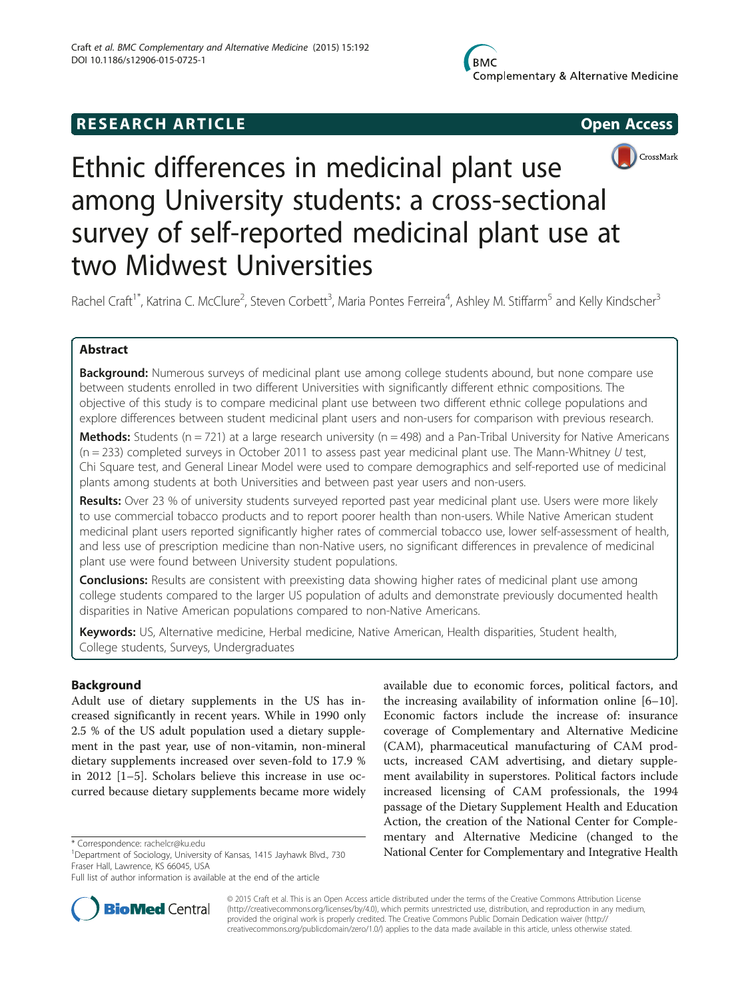# **RESEARCH ARTICLE Example 2014 CONSIDERING CONSIDERING CONSIDERING CONSIDERING CONSIDERING CONSIDERING CONSIDERING CONSIDERING CONSIDERING CONSIDERING CONSIDERING CONSIDERING CONSIDERING CONSIDERING CONSIDERING CONSIDE**



# Ethnic differences in medicinal plant use among University students: a cross-sectional survey of self-reported medicinal plant use at two Midwest Universities

Rachel Craft<sup>1\*</sup>, Katrina C. McClure<sup>2</sup>, Steven Corbett<sup>3</sup>, Maria Pontes Ferreira<sup>4</sup>, Ashley M. Stiffarm<sup>5</sup> and Kelly Kindscher<sup>3</sup>

# Abstract

Background: Numerous surveys of medicinal plant use among college students abound, but none compare use between students enrolled in two different Universities with significantly different ethnic compositions. The objective of this study is to compare medicinal plant use between two different ethnic college populations and explore differences between student medicinal plant users and non-users for comparison with previous research.

**Methods:** Students ( $n = 721$ ) at a large research university ( $n = 498$ ) and a Pan-Tribal University for Native Americans  $(n = 233)$  completed surveys in October 2011 to assess past year medicinal plant use. The Mann-Whitney U test, Chi Square test, and General Linear Model were used to compare demographics and self-reported use of medicinal plants among students at both Universities and between past year users and non-users.

Results: Over 23 % of university students surveyed reported past year medicinal plant use. Users were more likely to use commercial tobacco products and to report poorer health than non-users. While Native American student medicinal plant users reported significantly higher rates of commercial tobacco use, lower self-assessment of health, and less use of prescription medicine than non-Native users, no significant differences in prevalence of medicinal plant use were found between University student populations.

**Conclusions:** Results are consistent with preexisting data showing higher rates of medicinal plant use among college students compared to the larger US population of adults and demonstrate previously documented health disparities in Native American populations compared to non-Native Americans.

Keywords: US, Alternative medicine, Herbal medicine, Native American, Health disparities, Student health, College students, Surveys, Undergraduates

# Background

Adult use of dietary supplements in the US has increased significantly in recent years. While in 1990 only 2.5 % of the US adult population used a dietary supplement in the past year, use of non-vitamin, non-mineral dietary supplements increased over seven-fold to 17.9 % in 2012 [[1](#page-8-0)–[5\]](#page-8-0). Scholars believe this increase in use occurred because dietary supplements became more widely

Full list of author information is available at the end of the article



© 2015 Craft et al. This is an Open Access article distributed under the terms of the Creative Commons Attribution License **BioMed** Central [\(http://creativecommons.org/licenses/by/4.0\)](http://creativecommons.org/licenses/by/4.0), which permits unrestricted use, distribution, and reproduction in any medium, provided the original work is properly credited. The Creative Commons Public Domain Dedication waiver [\(http://](http://creativecommons.org/publicdomain/zero/1.0/) [creativecommons.org/publicdomain/zero/1.0/\)](http://creativecommons.org/publicdomain/zero/1.0/) applies to the data made available in this article, unless otherwise stated.

<sup>&</sup>lt;sup>1</sup>Department of Sociology, University of Kansas, 1415 Jayhawk Blvd., 730 Fraser Hall, Lawrence, KS 66045, USA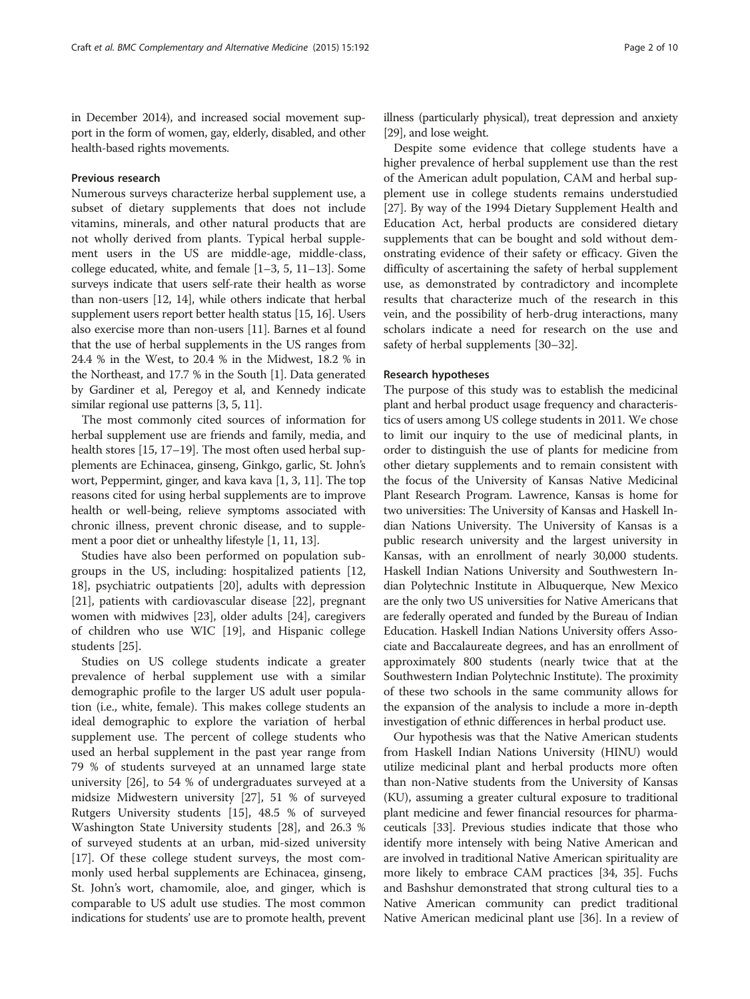in December 2014), and increased social movement support in the form of women, gay, elderly, disabled, and other health-based rights movements.

#### Previous research

Numerous surveys characterize herbal supplement use, a subset of dietary supplements that does not include vitamins, minerals, and other natural products that are not wholly derived from plants. Typical herbal supplement users in the US are middle-age, middle-class, college educated, white, and female [[1](#page-8-0)–[3, 5](#page-8-0), [11](#page-8-0)–[13](#page-8-0)]. Some surveys indicate that users self-rate their health as worse than non-users [\[12](#page-8-0), [14](#page-8-0)], while others indicate that herbal supplement users report better health status [\[15, 16\]](#page-8-0). Users also exercise more than non-users [[11](#page-8-0)]. Barnes et al found that the use of herbal supplements in the US ranges from 24.4 % in the West, to 20.4 % in the Midwest, 18.2 % in the Northeast, and 17.7 % in the South [[1](#page-8-0)]. Data generated by Gardiner et al, Peregoy et al, and Kennedy indicate similar regional use patterns [[3](#page-8-0), [5, 11\]](#page-8-0).

The most commonly cited sources of information for herbal supplement use are friends and family, media, and health stores [\[15, 17](#page-8-0)–[19](#page-8-0)]. The most often used herbal supplements are Echinacea, ginseng, Ginkgo, garlic, St. John's wort, Peppermint, ginger, and kava kava [\[1, 3](#page-8-0), [11\]](#page-8-0). The top reasons cited for using herbal supplements are to improve health or well-being, relieve symptoms associated with chronic illness, prevent chronic disease, and to supplement a poor diet or unhealthy lifestyle [\[1, 11](#page-8-0), [13\]](#page-8-0).

Studies have also been performed on population subgroups in the US, including: hospitalized patients [[12](#page-8-0), [18\]](#page-8-0), psychiatric outpatients [\[20\]](#page-8-0), adults with depression [[21\]](#page-8-0), patients with cardiovascular disease [\[22\]](#page-9-0), pregnant women with midwives [[23](#page-9-0)], older adults [\[24](#page-9-0)], caregivers of children who use WIC [[19\]](#page-8-0), and Hispanic college students [\[25\]](#page-9-0).

Studies on US college students indicate a greater prevalence of herbal supplement use with a similar demographic profile to the larger US adult user population (i.e., white, female). This makes college students an ideal demographic to explore the variation of herbal supplement use. The percent of college students who used an herbal supplement in the past year range from 79 % of students surveyed at an unnamed large state university [\[26\]](#page-9-0), to 54 % of undergraduates surveyed at a midsize Midwestern university [\[27](#page-9-0)], 51 % of surveyed Rutgers University students [\[15](#page-8-0)], 48.5 % of surveyed Washington State University students [\[28](#page-9-0)], and 26.3 % of surveyed students at an urban, mid-sized university [[17\]](#page-8-0). Of these college student surveys, the most commonly used herbal supplements are Echinacea, ginseng, St. John's wort, chamomile, aloe, and ginger, which is comparable to US adult use studies. The most common indications for students' use are to promote health, prevent illness (particularly physical), treat depression and anxiety [[29](#page-9-0)], and lose weight.

Despite some evidence that college students have a higher prevalence of herbal supplement use than the rest of the American adult population, CAM and herbal supplement use in college students remains understudied [[27\]](#page-9-0). By way of the 1994 Dietary Supplement Health and Education Act, herbal products are considered dietary supplements that can be bought and sold without demonstrating evidence of their safety or efficacy. Given the difficulty of ascertaining the safety of herbal supplement use, as demonstrated by contradictory and incomplete results that characterize much of the research in this vein, and the possibility of herb-drug interactions, many scholars indicate a need for research on the use and safety of herbal supplements [[30](#page-9-0)–[32](#page-9-0)].

#### Research hypotheses

The purpose of this study was to establish the medicinal plant and herbal product usage frequency and characteristics of users among US college students in 2011. We chose to limit our inquiry to the use of medicinal plants, in order to distinguish the use of plants for medicine from other dietary supplements and to remain consistent with the focus of the University of Kansas Native Medicinal Plant Research Program. Lawrence, Kansas is home for two universities: The University of Kansas and Haskell Indian Nations University. The University of Kansas is a public research university and the largest university in Kansas, with an enrollment of nearly 30,000 students. Haskell Indian Nations University and Southwestern Indian Polytechnic Institute in Albuquerque, New Mexico are the only two US universities for Native Americans that are federally operated and funded by the Bureau of Indian Education. Haskell Indian Nations University offers Associate and Baccalaureate degrees, and has an enrollment of approximately 800 students (nearly twice that at the Southwestern Indian Polytechnic Institute). The proximity of these two schools in the same community allows for the expansion of the analysis to include a more in-depth investigation of ethnic differences in herbal product use.

Our hypothesis was that the Native American students from Haskell Indian Nations University (HINU) would utilize medicinal plant and herbal products more often than non-Native students from the University of Kansas (KU), assuming a greater cultural exposure to traditional plant medicine and fewer financial resources for pharmaceuticals [[33\]](#page-9-0). Previous studies indicate that those who identify more intensely with being Native American and are involved in traditional Native American spirituality are more likely to embrace CAM practices [[34](#page-9-0), [35](#page-9-0)]. Fuchs and Bashshur demonstrated that strong cultural ties to a Native American community can predict traditional Native American medicinal plant use [\[36\]](#page-9-0). In a review of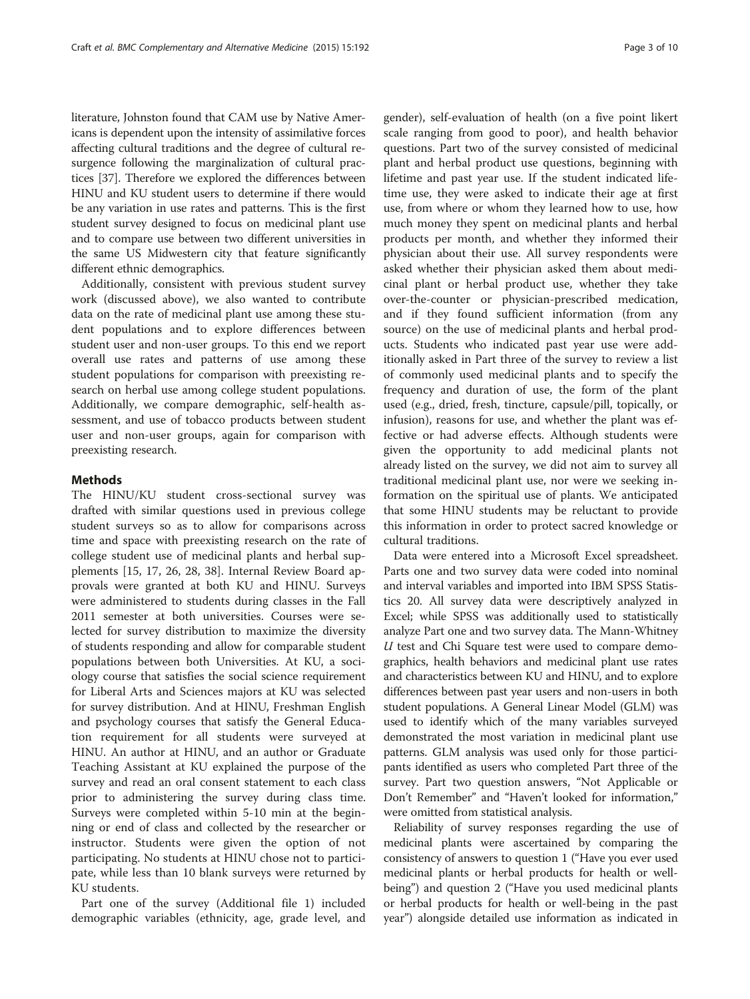literature, Johnston found that CAM use by Native Americans is dependent upon the intensity of assimilative forces affecting cultural traditions and the degree of cultural resurgence following the marginalization of cultural practices [\[37\]](#page-9-0). Therefore we explored the differences between HINU and KU student users to determine if there would be any variation in use rates and patterns. This is the first student survey designed to focus on medicinal plant use and to compare use between two different universities in the same US Midwestern city that feature significantly different ethnic demographics.

Additionally, consistent with previous student survey work (discussed above), we also wanted to contribute data on the rate of medicinal plant use among these student populations and to explore differences between student user and non-user groups. To this end we report overall use rates and patterns of use among these student populations for comparison with preexisting research on herbal use among college student populations. Additionally, we compare demographic, self-health assessment, and use of tobacco products between student user and non-user groups, again for comparison with preexisting research.

## Methods

The HINU/KU student cross-sectional survey was drafted with similar questions used in previous college student surveys so as to allow for comparisons across time and space with preexisting research on the rate of college student use of medicinal plants and herbal supplements [[15](#page-8-0), [17,](#page-8-0) [26](#page-9-0), [28, 38](#page-9-0)]. Internal Review Board approvals were granted at both KU and HINU. Surveys were administered to students during classes in the Fall 2011 semester at both universities. Courses were selected for survey distribution to maximize the diversity of students responding and allow for comparable student populations between both Universities. At KU, a sociology course that satisfies the social science requirement for Liberal Arts and Sciences majors at KU was selected for survey distribution. And at HINU, Freshman English and psychology courses that satisfy the General Education requirement for all students were surveyed at HINU. An author at HINU, and an author or Graduate Teaching Assistant at KU explained the purpose of the survey and read an oral consent statement to each class prior to administering the survey during class time. Surveys were completed within 5-10 min at the beginning or end of class and collected by the researcher or instructor. Students were given the option of not participating. No students at HINU chose not to participate, while less than 10 blank surveys were returned by KU students.

Part one of the survey (Additional file [1\)](#page-8-0) included demographic variables (ethnicity, age, grade level, and

gender), self-evaluation of health (on a five point likert scale ranging from good to poor), and health behavior questions. Part two of the survey consisted of medicinal plant and herbal product use questions, beginning with lifetime and past year use. If the student indicated lifetime use, they were asked to indicate their age at first use, from where or whom they learned how to use, how much money they spent on medicinal plants and herbal products per month, and whether they informed their physician about their use. All survey respondents were asked whether their physician asked them about medicinal plant or herbal product use, whether they take over-the-counter or physician-prescribed medication, and if they found sufficient information (from any source) on the use of medicinal plants and herbal products. Students who indicated past year use were additionally asked in Part three of the survey to review a list of commonly used medicinal plants and to specify the frequency and duration of use, the form of the plant used (e.g., dried, fresh, tincture, capsule/pill, topically, or infusion), reasons for use, and whether the plant was effective or had adverse effects. Although students were given the opportunity to add medicinal plants not already listed on the survey, we did not aim to survey all traditional medicinal plant use, nor were we seeking information on the spiritual use of plants. We anticipated that some HINU students may be reluctant to provide this information in order to protect sacred knowledge or cultural traditions.

Data were entered into a Microsoft Excel spreadsheet. Parts one and two survey data were coded into nominal and interval variables and imported into IBM SPSS Statistics 20. All survey data were descriptively analyzed in Excel; while SPSS was additionally used to statistically analyze Part one and two survey data. The Mann-Whitney U test and Chi Square test were used to compare demographics, health behaviors and medicinal plant use rates and characteristics between KU and HINU, and to explore differences between past year users and non-users in both student populations. A General Linear Model (GLM) was used to identify which of the many variables surveyed demonstrated the most variation in medicinal plant use patterns. GLM analysis was used only for those participants identified as users who completed Part three of the survey. Part two question answers, "Not Applicable or Don't Remember" and "Haven't looked for information," were omitted from statistical analysis.

Reliability of survey responses regarding the use of medicinal plants were ascertained by comparing the consistency of answers to question 1 ("Have you ever used medicinal plants or herbal products for health or wellbeing") and question 2 ("Have you used medicinal plants or herbal products for health or well-being in the past year") alongside detailed use information as indicated in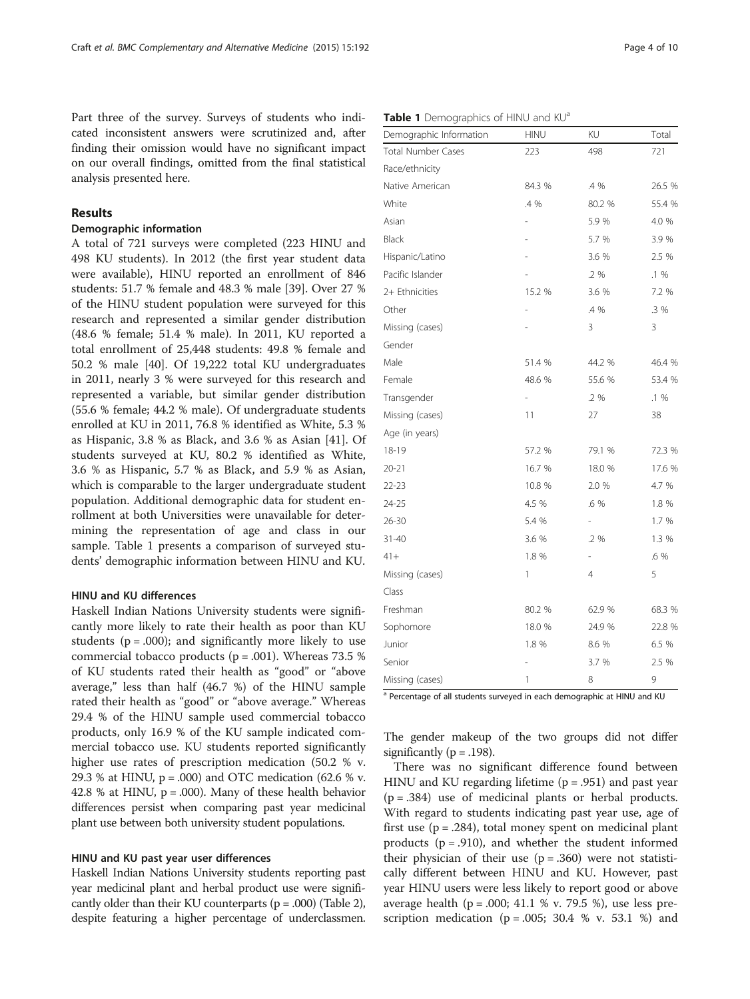Part three of the survey. Surveys of students who indicated inconsistent answers were scrutinized and, after finding their omission would have no significant impact on our overall findings, omitted from the final statistical analysis presented here.

# Results

### Demographic information

A total of 721 surveys were completed (223 HINU and 498 KU students). In 2012 (the first year student data were available), HINU reported an enrollment of 846 students: 51.7 % female and 48.3 % male [\[39](#page-9-0)]. Over 27 % of the HINU student population were surveyed for this research and represented a similar gender distribution (48.6 % female; 51.4 % male). In 2011, KU reported a total enrollment of 25,448 students: 49.8 % female and 50.2 % male [\[40\]](#page-9-0). Of 19,222 total KU undergraduates in 2011, nearly 3 % were surveyed for this research and represented a variable, but similar gender distribution (55.6 % female; 44.2 % male). Of undergraduate students enrolled at KU in 2011, 76.8 % identified as White, 5.3 % as Hispanic, 3.8 % as Black, and 3.6 % as Asian [\[41](#page-9-0)]. Of students surveyed at KU, 80.2 % identified as White, 3.6 % as Hispanic, 5.7 % as Black, and 5.9 % as Asian, which is comparable to the larger undergraduate student population. Additional demographic data for student enrollment at both Universities were unavailable for determining the representation of age and class in our sample. Table 1 presents a comparison of surveyed students' demographic information between HINU and KU.

#### HINU and KU differences

Haskell Indian Nations University students were significantly more likely to rate their health as poor than KU students ( $p = .000$ ); and significantly more likely to use commercial tobacco products ( $p = .001$ ). Whereas 73.5 % of KU students rated their health as "good" or "above average," less than half (46.7 %) of the HINU sample rated their health as "good" or "above average." Whereas 29.4 % of the HINU sample used commercial tobacco products, only 16.9 % of the KU sample indicated commercial tobacco use. KU students reported significantly higher use rates of prescription medication (50.2 % v. 29.3 % at HINU,  $p = .000$ ) and OTC medication (62.6 % v. 42.8 % at HINU,  $p = .000$ ). Many of these health behavior differences persist when comparing past year medicinal plant use between both university student populations.

#### HINU and KU past year user differences

Haskell Indian Nations University students reporting past year medicinal plant and herbal product use were significantly older than their KU counterparts  $(p = .000)$  (Table [2](#page-4-0)), despite featuring a higher percentage of underclassmen.

| Table 1 Demographics of HINU and KU <sup>a</sup> |  |
|--------------------------------------------------|--|
|--------------------------------------------------|--|

| Demographic Information   | <b>HINU</b>              | ΚU                       | Total  |
|---------------------------|--------------------------|--------------------------|--------|
| <b>Total Number Cases</b> | 223                      | 498                      | 721    |
| Race/ethnicity            |                          |                          |        |
| Native American           | 84.3 %                   | .4 %                     | 26.5 % |
| White                     | .4 %                     | 80.2 %                   | 55.4 % |
| Asian                     | i.                       | 5.9 %                    | 4.0 %  |
| Black                     |                          | 5.7 %                    | 3.9 %  |
| Hispanic/Latino           |                          | 3.6 %                    | 2.5 %  |
| Pacific Islander          |                          | $.2\%$                   | .1 %   |
| 2+ Ethnicities            | 15.2 %                   | 3.6 %                    | 7.2 %  |
| Other                     |                          | .4 %                     | .3 %   |
| Missing (cases)           |                          | 3                        | 3      |
| Gender                    |                          |                          |        |
| Male                      | 51.4 %                   | 44.2 %                   | 46.4 % |
| Female                    | 48.6 %                   | 55.6 %                   | 53.4 % |
| Transgender               | $\overline{\phantom{0}}$ | .2 %                     | $.1\%$ |
| Missing (cases)           | 11                       | 27                       | 38     |
| Age (in years)            |                          |                          |        |
| 18-19                     | 57.2 %                   | 79.1 %                   | 72.3 % |
| 20-21                     | 16.7 %                   | 18.0 %                   | 17.6 % |
| $22 - 23$                 | 10.8 %                   | 2.0 %                    | 4.7 %  |
| 24-25                     | 4.5 %                    | .6 %                     | 1.8 %  |
| 26-30                     | 5.4 %                    | $\overline{\phantom{0}}$ | 1.7 %  |
| $31 - 40$                 | 3.6 %                    | .2 %                     | 1.3 %  |
| $41 +$                    | 1.8 %                    | $\overline{\phantom{0}}$ | .6 %   |
| Missing (cases)           | 1                        | 4                        | 5      |
| Class                     |                          |                          |        |
| Freshman                  | 80.2 %                   | 62.9 %                   | 68.3 % |
| Sophomore                 | 18.0 %                   | 24.9 %                   | 22.8 % |
| Junior                    | 1.8 %                    | 8.6 %                    | 6.5 %  |
| Senior                    |                          | 3.7 %                    | 2.5 %  |
| Missing (cases)           | 1                        | 8                        | 9      |

a Percentage of all students surveyed in each demographic at HINU and KU

The gender makeup of the two groups did not differ significantly ( $p = .198$ ).

There was no significant difference found between HINU and KU regarding lifetime  $(p = .951)$  and past year  $(p = .384)$  use of medicinal plants or herbal products. With regard to students indicating past year use, age of first use  $(p = .284)$ , total money spent on medicinal plant products ( $p = .910$ ), and whether the student informed their physician of their use  $(p=.360)$  were not statistically different between HINU and KU. However, past year HINU users were less likely to report good or above average health ( $p = .000$ ; 41.1 % v. 79.5 %), use less prescription medication ( $p = .005$ ; 30.4 % v. 53.1 %) and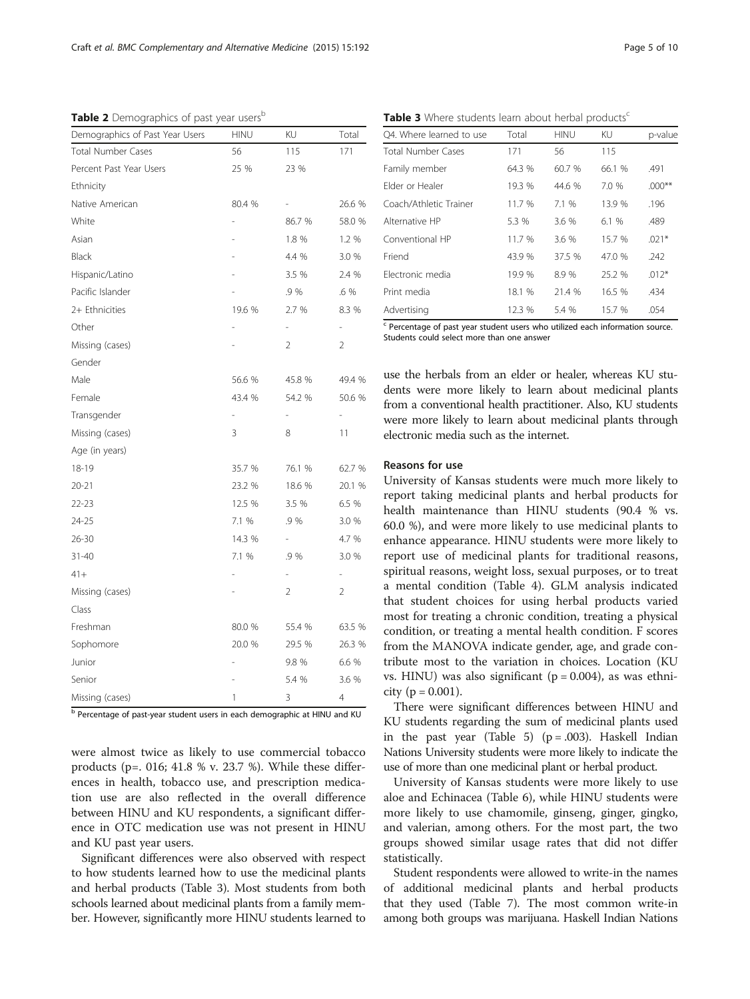<span id="page-4-0"></span>Table 2 Demographics of past year users<sup>b</sup>

| Demographics of Past Year Users | <b>HINU</b>    | KU             | Total          |
|---------------------------------|----------------|----------------|----------------|
| <b>Total Number Cases</b>       | 56             | 115            | 171            |
| Percent Past Year Users         | 25 %           | 23 %           |                |
| Ethnicity                       |                |                |                |
| Native American                 | 80.4 %         |                | 26.6 %         |
| White                           |                | 86.7 %         | 58.0 %         |
| Asian                           |                | 1.8 %          | 1.2 %          |
| Black                           |                | 4.4 %          | 3.0 %          |
| Hispanic/Latino                 |                | 3.5 %          | 2.4 %          |
| Pacific Islander                |                | .9 %           | .6 %           |
| 2+ Ethnicities                  | 19.6 %         | 2.7 %          | 8.3 %          |
| Other                           |                | $\frac{1}{2}$  | ÷              |
| Missing (cases)                 |                | $\overline{2}$ | $\overline{2}$ |
| Gender                          |                |                |                |
| Male                            | 56.6 %         | 45.8 %         | 49.4 %         |
| Female                          | 43.4 %         | 54.2 %         | 50.6 %         |
| Transgender                     |                |                |                |
| Missing (cases)                 | 3              | 8              | 11             |
| Age (in years)                  |                |                |                |
| 18-19                           | 35.7 %         | 76.1 %         | 62.7 %         |
| 20-21                           | 23.2 %         | 18.6 %         | 20.1 %         |
| $22 - 23$                       | 12.5 %         | 3.5 %          | 6.5 %          |
| 24-25                           | 7.1 %          | .9 %           | 3.0 %          |
| $26 - 30$                       | 14.3 %         | $\overline{a}$ | 4.7 %          |
| $31 - 40$                       | 7.1 %          | .9%            | 3.0 %          |
| $41 +$                          |                |                |                |
| Missing (cases)                 |                | $\overline{2}$ | $\overline{2}$ |
| Class                           |                |                |                |
| Freshman                        | 80.0 %         | 55.4 %         | 63.5 %         |
| Sophomore                       | 20.0 %         | 29.5 %         | 26.3 %         |
| Junior                          | $\overline{a}$ | 9.8 %          | 6.6 %          |
| Senior                          |                | 5.4 %          | 3.6 %          |
| Missing (cases)                 | 1              | 3              | 4              |
|                                 |                |                |                |

<sup>b</sup> Percentage of past-year student users in each demographic at HINU and KU

were almost twice as likely to use commercial tobacco products (p=. 016; 41.8 % v. 23.7 %). While these differences in health, tobacco use, and prescription medication use are also reflected in the overall difference between HINU and KU respondents, a significant difference in OTC medication use was not present in HINU and KU past year users.

Significant differences were also observed with respect to how students learned how to use the medicinal plants and herbal products (Table 3). Most students from both schools learned about medicinal plants from a family member. However, significantly more HINU students learned to

Table 3 Where students learn about herbal products<sup>c</sup>

| O4. Where learned to use  | Total  | <b>HINU</b> | KU.    | p-value  |
|---------------------------|--------|-------------|--------|----------|
| <b>Total Number Cases</b> | 171    | 56          | 115    |          |
| Family member             | 64.3 % | 60.7 %      | 66.1 % | .491     |
| Elder or Healer           | 19.3 % | 44.6 %      | 7.0 %  | $.000**$ |
| Coach/Athletic Trainer    | 11.7 % | 71%         | 13.9 % | .196     |
| Alternative HP            | 5.3 %  | 3.6%        | 6.1%   | .489     |
| Conventional HP           | 11.7 % | 3.6%        | 15.7 % | $.021*$  |
| Friend                    | 43.9 % | 37.5 %      | 47.0 % | .242     |
| Electronic media          | 19.9 % | 8.9%        | 25.2 % | $.012*$  |
| Print media               | 18.1 % | 21.4 %      | 16.5 % | .434     |
| Advertising               | 12.3%  | 5.4 %       | 15.7 % | .054     |

<sup>c</sup> Percentage of past year student users who utilized each information source. Students could select more than one answer

use the herbals from an elder or healer, whereas KU students were more likely to learn about medicinal plants from a conventional health practitioner. Also, KU students were more likely to learn about medicinal plants through electronic media such as the internet.

#### Reasons for use

University of Kansas students were much more likely to report taking medicinal plants and herbal products for health maintenance than HINU students (90.4 % vs. 60.0 %), and were more likely to use medicinal plants to enhance appearance. HINU students were more likely to report use of medicinal plants for traditional reasons, spiritual reasons, weight loss, sexual purposes, or to treat a mental condition (Table [4](#page-5-0)). GLM analysis indicated that student choices for using herbal products varied most for treating a chronic condition, treating a physical condition, or treating a mental health condition. F scores from the MANOVA indicate gender, age, and grade contribute most to the variation in choices. Location (KU vs. HINU) was also significant ( $p = 0.004$ ), as was ethnicity (p = 0.001).

There were significant differences between HINU and KU students regarding the sum of medicinal plants used in the past year (Table [5\)](#page-5-0) ( $p = .003$ ). Haskell Indian Nations University students were more likely to indicate the use of more than one medicinal plant or herbal product.

University of Kansas students were more likely to use aloe and Echinacea (Table [6\)](#page-5-0), while HINU students were more likely to use chamomile, ginseng, ginger, gingko, and valerian, among others. For the most part, the two groups showed similar usage rates that did not differ statistically.

Student respondents were allowed to write-in the names of additional medicinal plants and herbal products that they used (Table [7\)](#page-6-0). The most common write-in among both groups was marijuana. Haskell Indian Nations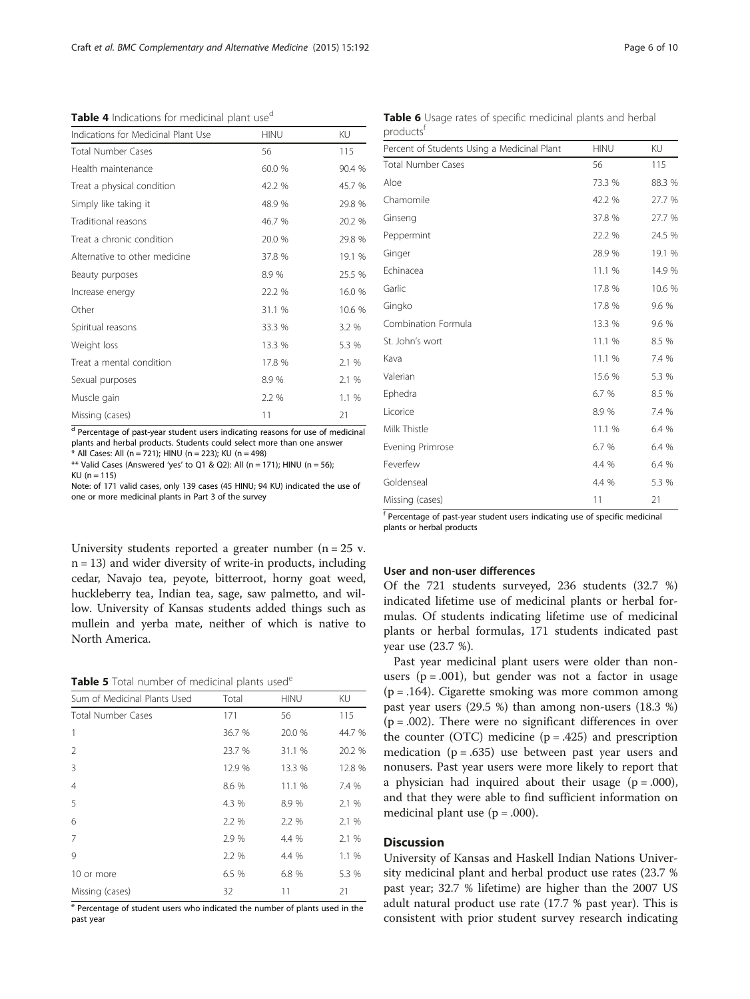<span id="page-5-0"></span>Table 4 Indications for medicinal plant use<sup>d</sup>

| Indications for Medicinal Plant Use | <b>HINU</b> | KU     |
|-------------------------------------|-------------|--------|
| <b>Total Number Cases</b>           | 56          | 115    |
| Health maintenance                  | 60.0 %      | 90.4 % |
| Treat a physical condition          | 42.2 %      | 45.7 % |
| Simply like taking it               | 48.9 %      | 29.8 % |
| Traditional reasons                 | 46.7 %      | 20.2 % |
| Treat a chronic condition           | 20.0 %      | 29.8 % |
| Alternative to other medicine       | 37.8 %      | 19.1 % |
| Beauty purposes                     | 8.9%        | 25.5 % |
| Increase energy                     | 22.2 %      | 16.0 % |
| Other                               | 31.1 %      | 10.6 % |
| Spiritual reasons                   | 33.3 %      | 3.2 %  |
| Weight loss                         | 13.3 %      | 5.3 %  |
| Treat a mental condition            | 17.8 %      | 2.1 %  |
| Sexual purposes                     | 8.9%        | 2.1 %  |
| Muscle gain                         | 2.2 %       | 1.1 %  |
| Missing (cases)                     | 11          | 21     |

d Percentage of past-year student users indicating reasons for use of medicinal plants and herbal products. Students could select more than one answer .<br>\* All Cases: All (n = 721); HINU (n = 223); KU (n = 498)

\*\* Valid Cases (Answered 'yes' to Q1 & Q2): All (n = 171); HINU (n = 56);  $KU (n = 115)$ 

Note: of 171 valid cases, only 139 cases (45 HINU; 94 KU) indicated the use of one or more medicinal plants in Part 3 of the survey

University students reported a greater number ( $n = 25$  v.  $n = 13$ ) and wider diversity of write-in products, including cedar, Navajo tea, peyote, bitterroot, horny goat weed, huckleberry tea, Indian tea, sage, saw palmetto, and willow. University of Kansas students added things such as mullein and yerba mate, neither of which is native to North America.

Table 5 Total number of medicinal plants used<sup>e</sup>

| Sum of Medicinal Plants Used | Total  | <b>HINU</b> | KU     |
|------------------------------|--------|-------------|--------|
| <b>Total Number Cases</b>    | 171    | 56          | 115    |
| 1                            | 36.7 % | 20.0 %      | 44.7 % |
| 2                            | 23.7 % | 31.1 %      | 20.2 % |
| 3                            | 12.9 % | 13.3 %      | 12.8 % |
| $\overline{4}$               | 8.6 %  | 11.1 %      | 7.4 %  |
| 5                            | 4.3 %  | 8.9%        | 2.1 %  |
| 6                            | 2.2 %  | 2.2 %       | 2.1 %  |
| 7                            | 2.9 %  | 4.4 %       | 2.1 %  |
| 9                            | 2.2 %  | 4.4 %       | 1.1%   |
| 10 or more                   | 6.5 %  | 6.8 %       | 5.3 %  |
| Missing (cases)              | 32     | 11          | 21     |

<sup>e</sup> Percentage of student users who indicated the number of plants used in the past year

Table 6 Usage rates of specific medicinal plants and herbal products<sup>f</sup>

| Percent of Students Using a Medicinal Plant | <b>HINU</b> | KU     |
|---------------------------------------------|-------------|--------|
| <b>Total Number Cases</b>                   | 56          | 115    |
| Aloe                                        | 73.3 %      | 88.3 % |
| Chamomile                                   | 42.2 %      | 27.7 % |
| Ginseng                                     | 37.8 %      | 27.7 % |
| Peppermint                                  | 22.2 %      | 24.5 % |
| Ginger                                      | 28.9 %      | 19.1 % |
| Echinacea                                   | 11.1 %      | 14.9 % |
| Garlic                                      | 17.8 %      | 10.6 % |
| Gingko                                      | 17.8 %      | 9.6 %  |
| Combination Formula                         | 13.3 %      | 9.6 %  |
| St. John's wort                             | 11.1 %      | 8.5 %  |
| Kava                                        | 11.1 %      | 7.4 %  |
| Valerian                                    | 15.6 %      | 5.3 %  |
| Ephedra                                     | 6.7 %       | 8.5 %  |
| Licorice                                    | 8.9%        | 7.4 %  |
| Milk Thistle                                | 11.1 %      | 6.4 %  |
| Evening Primrose                            | 6.7 %       | 6.4 %  |
| Feverfew                                    | 4.4 %       | 6.4 %  |
| Goldenseal                                  | 4.4 %       | 5.3 %  |
| Missing (cases)                             | 11          | 21     |

<sup>f</sup> Percentage of past-year student users indicating use of specific medicinal plants or herbal products

#### User and non-user differences

Of the 721 students surveyed, 236 students (32.7 %) indicated lifetime use of medicinal plants or herbal formulas. Of students indicating lifetime use of medicinal plants or herbal formulas, 171 students indicated past year use (23.7 %).

Past year medicinal plant users were older than nonusers ( $p = .001$ ), but gender was not a factor in usage (p = .164). Cigarette smoking was more common among past year users (29.5 %) than among non-users (18.3 %)  $(p = .002)$ . There were no significant differences in over the counter (OTC) medicine  $(p = .425)$  and prescription medication ( $p = .635$ ) use between past year users and nonusers. Past year users were more likely to report that a physician had inquired about their usage  $(p = .000)$ , and that they were able to find sufficient information on medicinal plant use  $(p = .000)$ .

#### **Discussion**

University of Kansas and Haskell Indian Nations University medicinal plant and herbal product use rates (23.7 % past year; 32.7 % lifetime) are higher than the 2007 US adult natural product use rate (17.7 % past year). This is consistent with prior student survey research indicating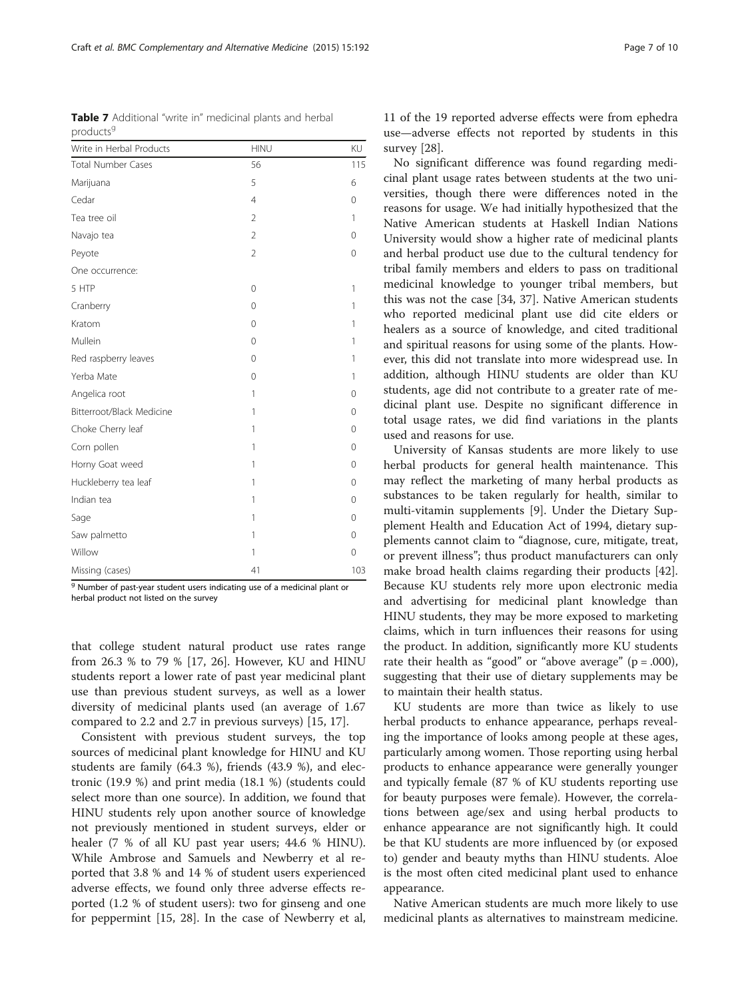<sup>g</sup> Number of past-year student users indicating use of a medicinal plant or herbal product not listed on the survey

that college student natural product use rates range from 26.3 % to 79 % [[17,](#page-8-0) [26](#page-9-0)]. However, KU and HINU students report a lower rate of past year medicinal plant use than previous student surveys, as well as a lower diversity of medicinal plants used (an average of 1.67 compared to 2.2 and 2.7 in previous surveys) [\[15](#page-8-0), [17\]](#page-8-0).

Consistent with previous student surveys, the top sources of medicinal plant knowledge for HINU and KU students are family (64.3 %), friends (43.9 %), and electronic (19.9 %) and print media (18.1 %) (students could select more than one source). In addition, we found that HINU students rely upon another source of knowledge not previously mentioned in student surveys, elder or healer (7 % of all KU past year users; 44.6 % HINU). While Ambrose and Samuels and Newberry et al reported that 3.8 % and 14 % of student users experienced adverse effects, we found only three adverse effects reported (1.2 % of student users): two for ginseng and one for peppermint [\[15](#page-8-0), [28](#page-9-0)]. In the case of Newberry et al, 11 of the 19 reported adverse effects were from ephedra use—adverse effects not reported by students in this survey [\[28](#page-9-0)].

No significant difference was found regarding medicinal plant usage rates between students at the two universities, though there were differences noted in the reasons for usage. We had initially hypothesized that the Native American students at Haskell Indian Nations University would show a higher rate of medicinal plants and herbal product use due to the cultural tendency for tribal family members and elders to pass on traditional medicinal knowledge to younger tribal members, but this was not the case [[34, 37\]](#page-9-0). Native American students who reported medicinal plant use did cite elders or healers as a source of knowledge, and cited traditional and spiritual reasons for using some of the plants. However, this did not translate into more widespread use. In addition, although HINU students are older than KU students, age did not contribute to a greater rate of medicinal plant use. Despite no significant difference in total usage rates, we did find variations in the plants used and reasons for use.

University of Kansas students are more likely to use herbal products for general health maintenance. This may reflect the marketing of many herbal products as substances to be taken regularly for health, similar to multi-vitamin supplements [[9\]](#page-8-0). Under the Dietary Supplement Health and Education Act of 1994, dietary supplements cannot claim to "diagnose, cure, mitigate, treat, or prevent illness"; thus product manufacturers can only make broad health claims regarding their products [\[42](#page-9-0)]. Because KU students rely more upon electronic media and advertising for medicinal plant knowledge than HINU students, they may be more exposed to marketing claims, which in turn influences their reasons for using the product. In addition, significantly more KU students rate their health as "good" or "above average"  $(p = .000)$ , suggesting that their use of dietary supplements may be to maintain their health status.

KU students are more than twice as likely to use herbal products to enhance appearance, perhaps revealing the importance of looks among people at these ages, particularly among women. Those reporting using herbal products to enhance appearance were generally younger and typically female (87 % of KU students reporting use for beauty purposes were female). However, the correlations between age/sex and using herbal products to enhance appearance are not significantly high. It could be that KU students are more influenced by (or exposed to) gender and beauty myths than HINU students. Aloe is the most often cited medicinal plant used to enhance appearance.

Native American students are much more likely to use medicinal plants as alternatives to mainstream medicine.

<span id="page-6-0"></span>

|                       |  |  | <b>Table 7</b> Additional "write in" medicinal plants and herbal |
|-----------------------|--|--|------------------------------------------------------------------|
| products <sup>9</sup> |  |  |                                                                  |

| Write in Herbal Products  | <b>HINU</b>    | KU       |
|---------------------------|----------------|----------|
| <b>Total Number Cases</b> | 56             | 115      |
| Marijuana                 | 5              | 6        |
| Cedar                     | $\overline{4}$ | 0        |
| Tea tree oil              | $\overline{2}$ | 1        |
| Navajo tea                | $\overline{2}$ | 0        |
| Peyote                    | $\overline{2}$ | $\Omega$ |
| One occurrence:           |                |          |
| 5 HTP                     | 0              | 1        |
| Cranberry                 | $\Omega$       | 1        |
| Kratom                    | $\Omega$       | 1        |
| Mullein                   | $\mathbf 0$    | 1        |
| Red raspberry leaves      | $\Omega$       | 1        |
| Yerba Mate                | 0              | 1        |
| Angelica root             | 1              | 0        |
| Bitterroot/Black Medicine | 1              | $\Omega$ |
| Choke Cherry leaf         | 1              | 0        |
| Corn pollen               | 1              | 0        |
| Horny Goat weed           | 1              | 0        |
| Huckleberry tea leaf      | 1              | $\Omega$ |
| Indian tea                | 1              | $\Omega$ |
| Sage                      | 1              | $\Omega$ |
| Saw palmetto              | 1              | $\Omega$ |
| Willow                    | 1              | 0        |
| Missing (cases)           | 41             | 103      |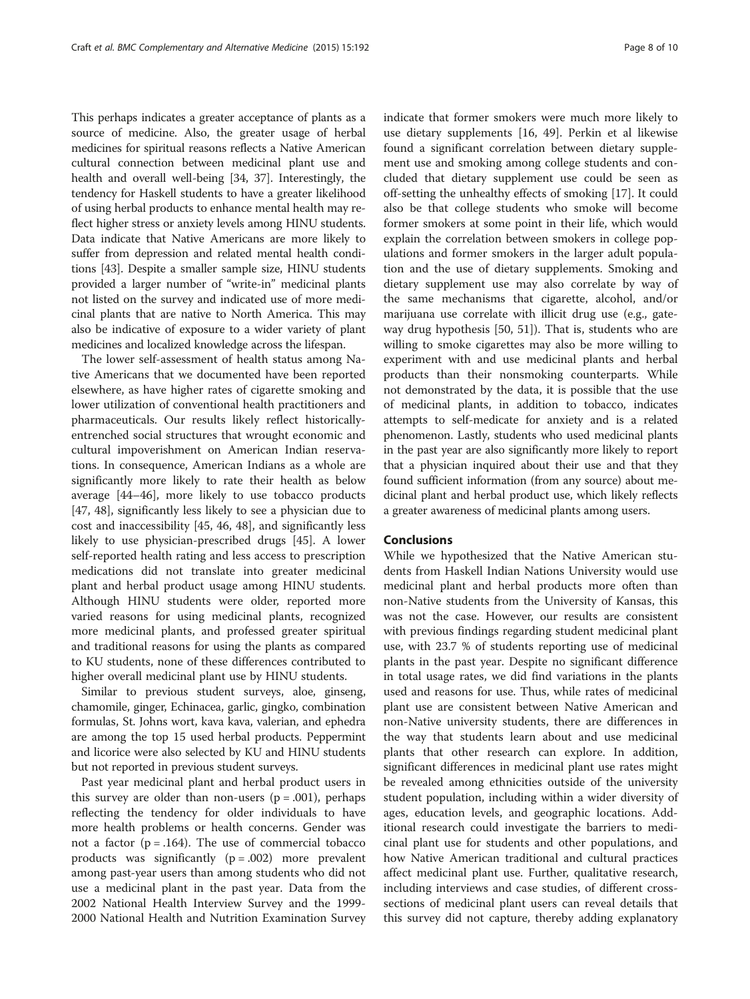This perhaps indicates a greater acceptance of plants as a source of medicine. Also, the greater usage of herbal medicines for spiritual reasons reflects a Native American cultural connection between medicinal plant use and health and overall well-being [[34](#page-9-0), [37\]](#page-9-0). Interestingly, the tendency for Haskell students to have a greater likelihood of using herbal products to enhance mental health may reflect higher stress or anxiety levels among HINU students. Data indicate that Native Americans are more likely to suffer from depression and related mental health conditions [\[43\]](#page-9-0). Despite a smaller sample size, HINU students provided a larger number of "write-in" medicinal plants not listed on the survey and indicated use of more medicinal plants that are native to North America. This may also be indicative of exposure to a wider variety of plant medicines and localized knowledge across the lifespan.

The lower self-assessment of health status among Native Americans that we documented have been reported elsewhere, as have higher rates of cigarette smoking and lower utilization of conventional health practitioners and pharmaceuticals. Our results likely reflect historicallyentrenched social structures that wrought economic and cultural impoverishment on American Indian reservations. In consequence, American Indians as a whole are significantly more likely to rate their health as below average [[44](#page-9-0)–[46](#page-9-0)], more likely to use tobacco products [[47, 48\]](#page-9-0), significantly less likely to see a physician due to cost and inaccessibility [\[45, 46](#page-9-0), [48](#page-9-0)], and significantly less likely to use physician-prescribed drugs [[45](#page-9-0)]. A lower self-reported health rating and less access to prescription medications did not translate into greater medicinal plant and herbal product usage among HINU students. Although HINU students were older, reported more varied reasons for using medicinal plants, recognized more medicinal plants, and professed greater spiritual and traditional reasons for using the plants as compared to KU students, none of these differences contributed to higher overall medicinal plant use by HINU students.

Similar to previous student surveys, aloe, ginseng, chamomile, ginger, Echinacea, garlic, gingko, combination formulas, St. Johns wort, kava kava, valerian, and ephedra are among the top 15 used herbal products. Peppermint and licorice were also selected by KU and HINU students but not reported in previous student surveys.

Past year medicinal plant and herbal product users in this survey are older than non-users  $(p = .001)$ , perhaps reflecting the tendency for older individuals to have more health problems or health concerns. Gender was not a factor ( $p = .164$ ). The use of commercial tobacco products was significantly  $(p = .002)$  more prevalent among past-year users than among students who did not use a medicinal plant in the past year. Data from the 2002 National Health Interview Survey and the 1999- 2000 National Health and Nutrition Examination Survey indicate that former smokers were much more likely to use dietary supplements [[16,](#page-8-0) [49](#page-9-0)]. Perkin et al likewise found a significant correlation between dietary supplement use and smoking among college students and concluded that dietary supplement use could be seen as off-setting the unhealthy effects of smoking [[17\]](#page-8-0). It could also be that college students who smoke will become former smokers at some point in their life, which would explain the correlation between smokers in college populations and former smokers in the larger adult population and the use of dietary supplements. Smoking and dietary supplement use may also correlate by way of the same mechanisms that cigarette, alcohol, and/or marijuana use correlate with illicit drug use (e.g., gateway drug hypothesis [[50, 51\]](#page-9-0)). That is, students who are willing to smoke cigarettes may also be more willing to experiment with and use medicinal plants and herbal products than their nonsmoking counterparts. While not demonstrated by the data, it is possible that the use of medicinal plants, in addition to tobacco, indicates attempts to self-medicate for anxiety and is a related phenomenon. Lastly, students who used medicinal plants in the past year are also significantly more likely to report that a physician inquired about their use and that they found sufficient information (from any source) about medicinal plant and herbal product use, which likely reflects a greater awareness of medicinal plants among users.

## **Conclusions**

While we hypothesized that the Native American students from Haskell Indian Nations University would use medicinal plant and herbal products more often than non-Native students from the University of Kansas, this was not the case. However, our results are consistent with previous findings regarding student medicinal plant use, with 23.7 % of students reporting use of medicinal plants in the past year. Despite no significant difference in total usage rates, we did find variations in the plants used and reasons for use. Thus, while rates of medicinal plant use are consistent between Native American and non-Native university students, there are differences in the way that students learn about and use medicinal plants that other research can explore. In addition, significant differences in medicinal plant use rates might be revealed among ethnicities outside of the university student population, including within a wider diversity of ages, education levels, and geographic locations. Additional research could investigate the barriers to medicinal plant use for students and other populations, and how Native American traditional and cultural practices affect medicinal plant use. Further, qualitative research, including interviews and case studies, of different crosssections of medicinal plant users can reveal details that this survey did not capture, thereby adding explanatory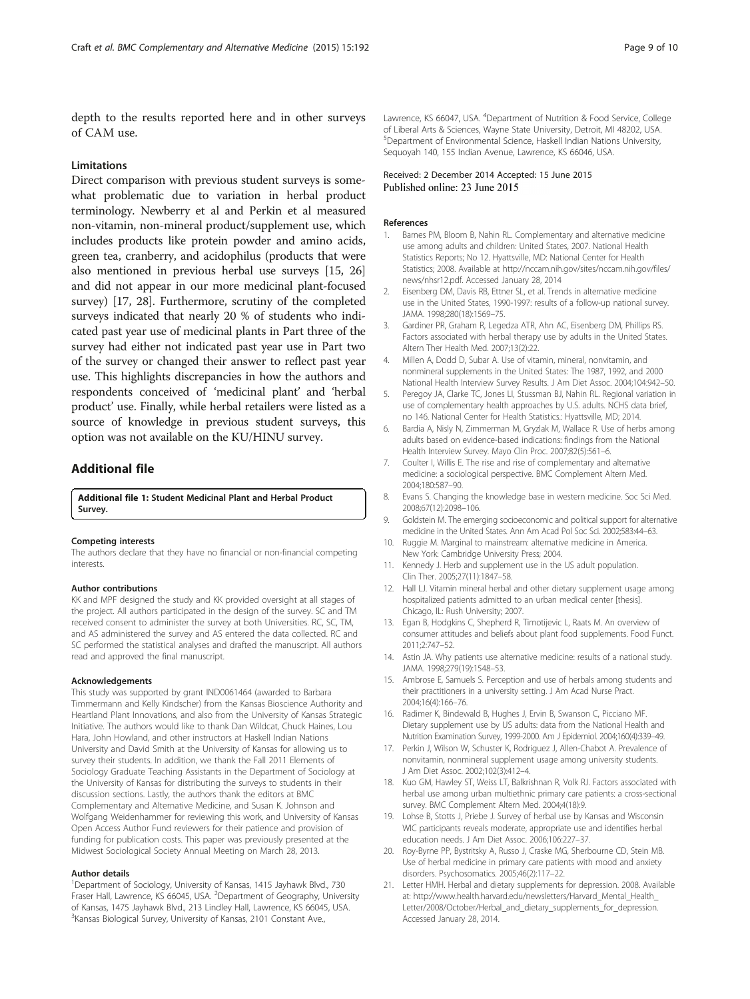<span id="page-8-0"></span>depth to the results reported here and in other surveys of CAM use.

#### **Limitations**

Direct comparison with previous student surveys is somewhat problematic due to variation in herbal product terminology. Newberry et al and Perkin et al measured non-vitamin, non-mineral product/supplement use, which includes products like protein powder and amino acids, green tea, cranberry, and acidophilus (products that were also mentioned in previous herbal use surveys [15, [26](#page-9-0)] and did not appear in our more medicinal plant-focused survey) [17, [28\]](#page-9-0). Furthermore, scrutiny of the completed surveys indicated that nearly 20 % of students who indicated past year use of medicinal plants in Part three of the survey had either not indicated past year use in Part two of the survey or changed their answer to reflect past year use. This highlights discrepancies in how the authors and respondents conceived of 'medicinal plant' and 'herbal product' use. Finally, while herbal retailers were listed as a source of knowledge in previous student surveys, this option was not available on the KU/HINU survey.

## Additional file

[Additional file 1:](http://www.biomedcentral.com/content/supplementary/s12906-015-0725-1-s1.pdf) Student Medicinal Plant and Herbal Product Survey.

#### Competing interests

The authors declare that they have no financial or non-financial competing interests.

#### Author contributions

KK and MPF designed the study and KK provided oversight at all stages of the project. All authors participated in the design of the survey. SC and TM received consent to administer the survey at both Universities. RC, SC, TM, and AS administered the survey and AS entered the data collected. RC and SC performed the statistical analyses and drafted the manuscript. All authors read and approved the final manuscript.

#### Acknowledgements

This study was supported by grant IND0061464 (awarded to Barbara Timmermann and Kelly Kindscher) from the Kansas Bioscience Authority and Heartland Plant Innovations, and also from the University of Kansas Strategic Initiative. The authors would like to thank Dan Wildcat, Chuck Haines, Lou Hara, John Howland, and other instructors at Haskell Indian Nations University and David Smith at the University of Kansas for allowing us to survey their students. In addition, we thank the Fall 2011 Elements of Sociology Graduate Teaching Assistants in the Department of Sociology at the University of Kansas for distributing the surveys to students in their discussion sections. Lastly, the authors thank the editors at BMC Complementary and Alternative Medicine, and Susan K. Johnson and Wolfgang Weidenhammer for reviewing this work, and University of Kansas Open Access Author Fund reviewers for their patience and provision of funding for publication costs. This paper was previously presented at the Midwest Sociological Society Annual Meeting on March 28, 2013.

#### Author details

<sup>1</sup>Department of Sociology, University of Kansas, 1415 Jayhawk Blvd., 730 Fraser Hall, Lawrence, KS 66045, USA. <sup>2</sup>Department of Geography, University of Kansas, 1475 Jayhawk Blvd., 213 Lindley Hall, Lawrence, KS 66045, USA. <sup>3</sup> Kansas Biological Survey, University of Kansas, 2101 Constant Ave.,

Lawrence, KS 66047, USA. <sup>4</sup>Department of Nutrition & Food Service, College of Liberal Arts & Sciences, Wayne State University, Detroit, MI 48202, USA. 5 Department of Environmental Science, Haskell Indian Nations University, Sequoyah 140, 155 Indian Avenue, Lawrence, KS 66046, USA.

#### Received: 2 December 2014 Accepted: 15 June 2015 Published online: 23 June 2015

#### References

- 1. Barnes PM, Bloom B, Nahin RL. Complementary and alternative medicine use among adults and children: United States, 2007. National Health Statistics Reports; No 12. Hyattsville, MD: National Center for Health Statistics; 2008. Available at [http://nccam.nih.gov/sites/nccam.nih.gov/files/](http://nccam.nih.gov/sites/nccam.nih.gov/files/news/nhsr12.pdf) [news/nhsr12.pdf.](http://nccam.nih.gov/sites/nccam.nih.gov/files/news/nhsr12.pdf) Accessed January 28, 2014
- 2. Eisenberg DM, Davis RB, Ettner SL, et al. Trends in alternative medicine use in the United States, 1990-1997: results of a follow-up national survey. JAMA. 1998;280(18):1569–75.
- 3. Gardiner PR, Graham R, Legedza ATR, Ahn AC, Eisenberg DM, Phillips RS. Factors associated with herbal therapy use by adults in the United States. Altern Ther Health Med. 2007;13(2):22.
- 4. Millen A, Dodd D, Subar A. Use of vitamin, mineral, nonvitamin, and nonmineral supplements in the United States: The 1987, 1992, and 2000 National Health Interview Survey Results. J Am Diet Assoc. 2004;104:942–50.
- 5. Peregoy JA, Clarke TC, Jones LI, Stussman BJ, Nahin RL. Regional variation in use of complementary health approaches by U.S. adults. NCHS data brief, no 146. National Center for Health Statistics.: Hyattsville, MD; 2014.
- 6. Bardia A, Nisly N, Zimmerman M, Gryzlak M, Wallace R. Use of herbs among adults based on evidence-based indications: findings from the National Health Interview Survey. Mayo Clin Proc. 2007;82(5):561–6.
- 7. Coulter I, Willis E. The rise and rise of complementary and alternative medicine: a sociological perspective. BMC Complement Altern Med. 2004;180:587–90.
- 8. Evans S. Changing the knowledge base in western medicine. Soc Sci Med. 2008;67(12):2098–106.
- 9. Goldstein M. The emerging socioeconomic and political support for alternative medicine in the United States. Ann Am Acad Pol Soc Sci. 2002;583:44–63.
- 10. Ruggie M. Marginal to mainstream: alternative medicine in America. New York: Cambridge University Press; 2004.
- 11. Kennedy J. Herb and supplement use in the US adult population. Clin Ther. 2005;27(11):1847–58.
- 12. Hall LJ. Vitamin mineral herbal and other dietary supplement usage among hospitalized patients admitted to an urban medical center [thesis]. Chicago, IL: Rush University; 2007.
- 13. Egan B, Hodgkins C, Shepherd R, Timotijevic L, Raats M. An overview of consumer attitudes and beliefs about plant food supplements. Food Funct. 2011;2:747–52.
- 14. Astin JA. Why patients use alternative medicine: results of a national study. JAMA. 1998;279(19):1548–53.
- 15. Ambrose E, Samuels S. Perception and use of herbals among students and their practitioners in a university setting. J Am Acad Nurse Pract. 2004;16(4):166–76.
- 16. Radimer K, Bindewald B, Hughes J, Ervin B, Swanson C, Picciano MF. Dietary supplement use by US adults: data from the National Health and Nutrition Examination Survey, 1999-2000. Am J Epidemiol. 2004;160(4):339–49.
- 17. Perkin J, Wilson W, Schuster K, Rodriguez J, Allen-Chabot A. Prevalence of nonvitamin, nonmineral supplement usage among university students. J Am Diet Assoc. 2002;102(3):412–4.
- 18. Kuo GM, Hawley ST, Weiss LT, Balkrishnan R, Volk RJ. Factors associated with herbal use among urban multiethnic primary care patients: a cross-sectional survey. BMC Complement Altern Med. 2004;4(18):9.
- 19. Lohse B, Stotts J, Priebe J. Survey of herbal use by Kansas and Wisconsin WIC participants reveals moderate, appropriate use and identifies herbal education needs. J Am Diet Assoc. 2006;106:227–37.
- 20. Roy-Byrne PP, Bystritsky A, Russo J, Craske MG, Sherbourne CD, Stein MB. Use of herbal medicine in primary care patients with mood and anxiety disorders. Psychosomatics. 2005;46(2):117–22.
- 21. Letter HMH. Herbal and dietary supplements for depression. 2008. Available at: [http://www.health.harvard.edu/newsletters/Harvard\\_Mental\\_Health\\_](http://www.health.harvard.edu/newsletters/Harvard_Mental_Health_Letter/2008/October/Herbal_and_dietary_supplements_for_depression) [Letter/2008/October/Herbal\\_and\\_dietary\\_supplements\\_for\\_depression.](http://www.health.harvard.edu/newsletters/Harvard_Mental_Health_Letter/2008/October/Herbal_and_dietary_supplements_for_depression) Accessed January 28, 2014.